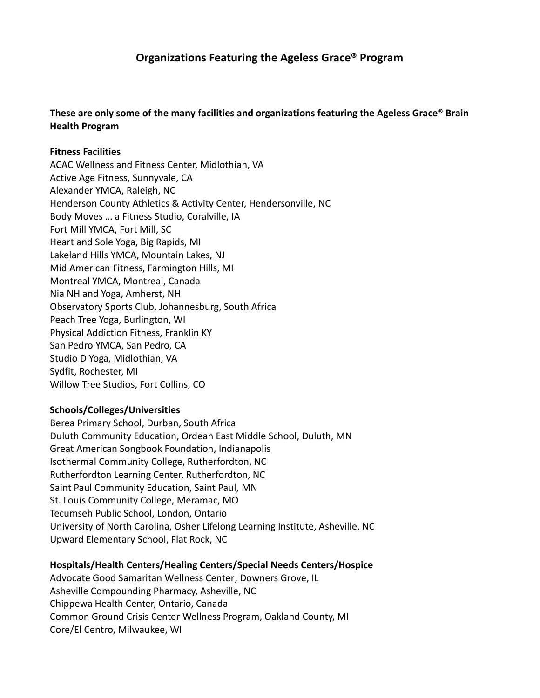# **Organizations Featuring the Ageless Grace® Program**

## **These are only some of the many facilities and organizations featuring the Ageless Grace® Brain Health Program**

### **Fitness Facilities**

ACAC Wellness and Fitness Center, Midlothian, VA Active Age Fitness, Sunnyvale, CA Alexander YMCA, Raleigh, NC Henderson County Athletics & Activity Center, Hendersonville, NC Body Moves … a Fitness Studio, Coralville, IA Fort Mill YMCA, Fort Mill, SC Heart and Sole Yoga, Big Rapids, MI Lakeland Hills YMCA, Mountain Lakes, NJ Mid American Fitness, Farmington Hills, MI Montreal YMCA, Montreal, Canada Nia NH and Yoga, Amherst, NH Observatory Sports Club, Johannesburg, South Africa Peach Tree Yoga, Burlington, WI Physical Addiction Fitness, Franklin KY San Pedro YMCA, San Pedro, CA Studio D Yoga, Midlothian, VA Sydfit, Rochester, MI Willow Tree Studios, Fort Collins, CO

## **Schools/Colleges/Universities**

Berea Primary School, Durban, South Africa Duluth Community Education, Ordean East Middle School, Duluth, MN Great American Songbook Foundation, Indianapolis Isothermal Community College, Rutherfordton, NC Rutherfordton Learning Center, Rutherfordton, NC Saint Paul Community Education, Saint Paul, MN St. Louis Community College, Meramac, MO Tecumseh Public School, London, Ontario University of North Carolina, Osher Lifelong Learning Institute, Asheville, NC Upward Elementary School, Flat Rock, NC

## **Hospitals/Health Centers/Healing Centers/Special Needs Centers/Hospice**

Advocate Good Samaritan Wellness Center, Downers Grove, IL Asheville Compounding Pharmacy, Asheville, NC Chippewa Health Center, Ontario, Canada Common Ground Crisis Center Wellness Program, Oakland County, MI Core/El Centro, Milwaukee, WI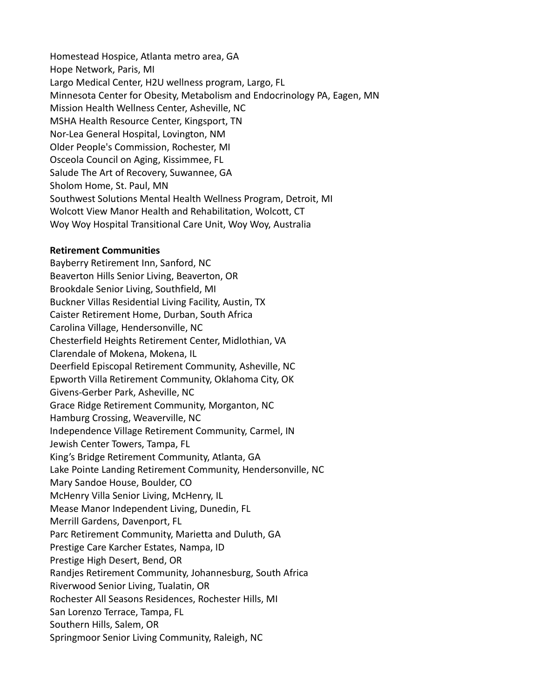Homestead Hospice, Atlanta metro area, GA Hope Network, Paris, MI Largo Medical Center, H2U wellness program, Largo, FL Minnesota Center for Obesity, Metabolism and Endocrinology PA, Eagen, MN Mission Health Wellness Center, Asheville, NC MSHA Health Resource Center, Kingsport, TN Nor-Lea General Hospital, Lovington, NM Older People's Commission, Rochester, MI Osceola Council on Aging, Kissimmee, FL Salude The Art of Recovery, Suwannee, GA Sholom Home, St. Paul, MN Southwest Solutions Mental Health Wellness Program, Detroit, MI Wolcott View Manor Health and Rehabilitation, Wolcott, CT Woy Woy Hospital Transitional Care Unit, Woy Woy, Australia

#### **Retirement Communities**

Bayberry Retirement Inn, Sanford, NC Beaverton Hills Senior Living, Beaverton, OR Brookdale Senior Living, Southfield, MI Buckner Villas Residential Living Facility, Austin, TX Caister Retirement Home, Durban, South Africa Carolina Village, Hendersonville, NC Chesterfield Heights Retirement Center, Midlothian, VA Clarendale of Mokena, Mokena, IL Deerfield Episcopal Retirement Community, Asheville, NC Epworth Villa Retirement Community, Oklahoma City, OK Givens-Gerber Park, Asheville, NC Grace Ridge Retirement Community, Morganton, NC Hamburg Crossing, Weaverville, NC Independence Village Retirement Community, Carmel, IN Jewish Center Towers, Tampa, FL King's Bridge Retirement Community, Atlanta, GA Lake Pointe Landing Retirement Community, Hendersonville, NC Mary Sandoe House, Boulder, CO McHenry Villa Senior Living, McHenry, IL Mease Manor Independent Living, Dunedin, FL Merrill Gardens, Davenport, FL Parc Retirement Community, Marietta and Duluth, GA Prestige Care Karcher Estates, Nampa, ID Prestige High Desert, Bend, OR Randjes Retirement Community, Johannesburg, South Africa Riverwood Senior Living, Tualatin, OR Rochester All Seasons Residences, Rochester Hills, MI San Lorenzo Terrace, Tampa, FL Southern Hills, Salem, OR Springmoor Senior Living Community, Raleigh, NC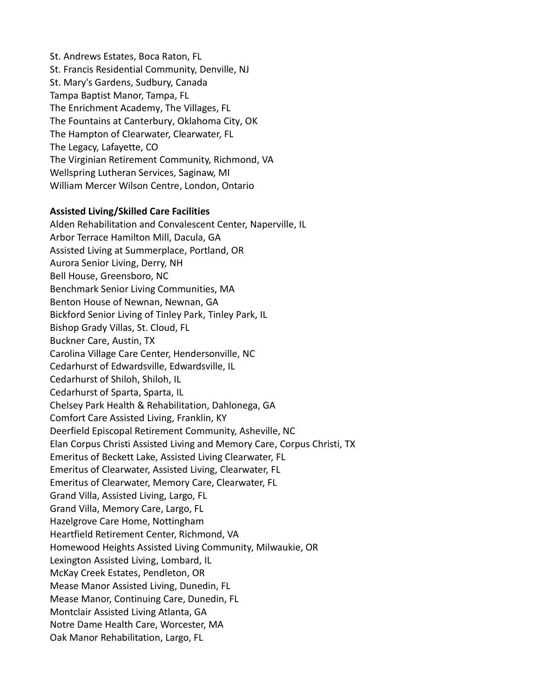St. Andrews Estates, Boca Raton, FL St. Francis Residential Community, Denville, NJ St. Mary's Gardens, Sudbury, Canada Tampa Baptist Manor, Tampa, FL The Enrichment Academy, The Villages, FL The Fountains at Canterbury, Oklahoma City, OK The Hampton of Clearwater, Clearwater, FL The Legacy, Lafayette, CO The Virginian Retirement Community, Richmond, VA Wellspring Lutheran Services, Saginaw, MI William Mercer Wilson Centre, London, Ontario

#### **Assisted Living/Skilled Care Facilities**

Alden Rehabilitation and Convalescent Center, Naperville, IL Arbor Terrace Hamilton Mill, Dacula, GA Assisted Living at Summerplace, Portland, OR Aurora Senior Living, Derry, NH Bell House, Greensboro, NC Benchmark Senior Living Communities, MA Benton House of Newnan, Newnan, GA Bickford Senior Living of Tinley Park, Tinley Park, IL Bishop Grady Villas, St. Cloud, FL Buckner Care, Austin, TX Carolina Village Care Center, Hendersonville, NC Cedarhurst of Edwardsville, Edwardsville, IL Cedarhurst of Shiloh, Shiloh, IL Cedarhurst of Sparta, Sparta, IL Chelsey Park Health & Rehabilitation, Dahlonega, GA Comfort Care Assisted Living, Franklin, KY Deerfield Episcopal Retirement Community, Asheville, NC Elan Corpus Christi Assisted Living and Memory Care, Corpus Christi, TX Emeritus of Beckett Lake, Assisted Living Clearwater, FL Emeritus of Clearwater, Assisted Living, Clearwater, FL Emeritus of Clearwater, Memory Care, Clearwater, FL Grand Villa, Assisted Living, Largo, FL Grand Villa, Memory Care, Largo, FL Hazelgrove Care Home, Nottingham Heartfield Retirement Center, Richmond, VA Homewood Heights Assisted Living Community, Milwaukie, OR Lexington Assisted Living, Lombard, IL McKay Creek Estates, Pendleton, OR Mease Manor Assisted Living, Dunedin, FL Mease Manor, Continuing Care, Dunedin, FL Montclair Assisted Living Atlanta, GA Notre Dame Health Care, Worcester, MA Oak Manor Rehabilitation, Largo, FL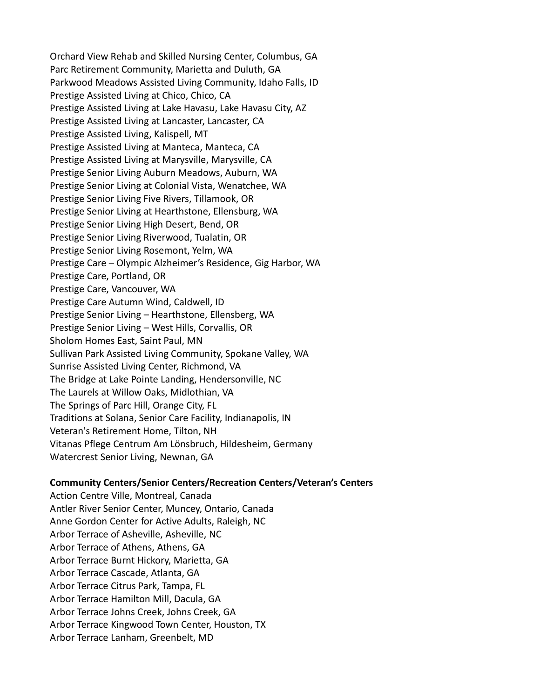Orchard View Rehab and Skilled Nursing Center, Columbus, GA Parc Retirement Community, Marietta and Duluth, GA Parkwood Meadows Assisted Living Community, Idaho Falls, ID Prestige Assisted Living at Chico, Chico, CA Prestige Assisted Living at Lake Havasu, Lake Havasu City, AZ Prestige Assisted Living at Lancaster, Lancaster, CA Prestige Assisted Living, Kalispell, MT Prestige Assisted Living at Manteca, Manteca, CA Prestige Assisted Living at Marysville, Marysville, CA Prestige Senior Living Auburn Meadows, Auburn, WA Prestige Senior Living at Colonial Vista, Wenatchee, WA Prestige Senior Living Five Rivers, Tillamook, OR Prestige Senior Living at Hearthstone, Ellensburg, WA Prestige Senior Living High Desert, Bend, OR Prestige Senior Living Riverwood, Tualatin, OR Prestige Senior Living Rosemont, Yelm, WA Prestige Care – Olympic Alzheimer's Residence, Gig Harbor, WA Prestige Care, Portland, OR Prestige Care, Vancouver, WA Prestige Care Autumn Wind, Caldwell, ID Prestige Senior Living – Hearthstone, Ellensberg, WA Prestige Senior Living – West Hills, Corvallis, OR Sholom Homes East, Saint Paul, MN Sullivan Park Assisted Living Community, Spokane Valley, WA Sunrise Assisted Living Center, Richmond, VA The Bridge at Lake Pointe Landing, Hendersonville, NC The Laurels at Willow Oaks, Midlothian, VA The Springs of Parc Hill, Orange City, FL Traditions at Solana, Senior Care Facility, Indianapolis, IN Veteran's Retirement Home, Tilton, NH Vitanas Pflege Centrum Am Lönsbruch, Hildesheim, Germany Watercrest Senior Living, Newnan, GA

#### **Community Centers/Senior Centers/Recreation Centers/Veteran's Centers**

Action Centre Ville, Montreal, Canada Antler River Senior Center, Muncey, Ontario, Canada Anne Gordon Center for Active Adults, Raleigh, NC Arbor Terrace of Asheville, Asheville, NC Arbor Terrace of Athens, Athens, GA Arbor Terrace Burnt Hickory, Marietta, GA Arbor Terrace Cascade, Atlanta, GA Arbor Terrace Citrus Park, Tampa, FL Arbor Terrace Hamilton Mill, Dacula, GA Arbor Terrace Johns Creek, Johns Creek, GA Arbor Terrace Kingwood Town Center, Houston, TX Arbor Terrace Lanham, Greenbelt, MD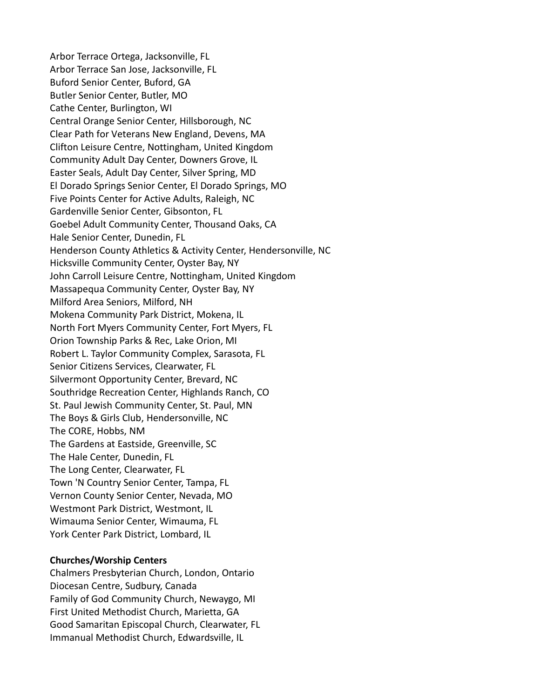Arbor Terrace Ortega, Jacksonville, FL Arbor Terrace San Jose, Jacksonville, FL Buford Senior Center, Buford, GA Butler Senior Center, Butler, MO Cathe Center, Burlington, WI Central Orange Senior Center, Hillsborough, NC Clear Path for Veterans New England, Devens, MA Clifton Leisure Centre, Nottingham, United Kingdom Community Adult Day Center, Downers Grove, IL Easter Seals, Adult Day Center, Silver Spring, MD El Dorado Springs Senior Center, El Dorado Springs, MO Five Points Center for Active Adults, Raleigh, NC Gardenville Senior Center, Gibsonton, FL Goebel Adult Community Center, Thousand Oaks, CA Hale Senior Center, Dunedin, FL Henderson County Athletics & Activity Center, Hendersonville, NC Hicksville Community Center, Oyster Bay, NY John Carroll Leisure Centre, Nottingham, United Kingdom Massapequa Community Center, Oyster Bay, NY Milford Area Seniors, Milford, NH Mokena Community Park District, Mokena, IL North Fort Myers Community Center, Fort Myers, FL Orion Township Parks & Rec, Lake Orion, MI Robert L. Taylor Community Complex, Sarasota, FL Senior Citizens Services, Clearwater, FL Silvermont Opportunity Center, Brevard, NC Southridge Recreation Center, Highlands Ranch, CO St. Paul Jewish Community Center, St. Paul, MN The Boys & Girls Club, Hendersonville, NC The CORE, Hobbs, NM The Gardens at Eastside, Greenville, SC The Hale Center, Dunedin, FL The Long Center, Clearwater, FL Town 'N Country Senior Center, Tampa, FL Vernon County Senior Center, Nevada, MO Westmont Park District, Westmont, IL Wimauma Senior Center, Wimauma, FL York Center Park District, Lombard, IL

#### **Churches/Worship Centers**

Chalmers Presbyterian Church, London, Ontario Diocesan Centre, Sudbury, Canada Family of God Community Church, Newaygo, MI First United Methodist Church, Marietta, GA Good Samaritan Episcopal Church, Clearwater, FL Immanual Methodist Church, Edwardsville, IL